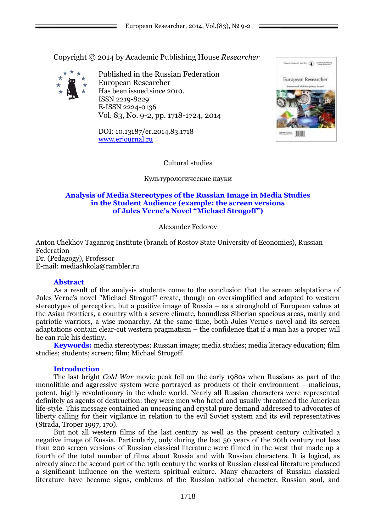Copyright © 2014 by Academic Publishing House *Researcher*



Published in the Russian Federation European Researcher Has been issued since 2010. ISSN 2219-8229 E-ISSN 2224-0136 Vol. 83, No. 9-2, pp. 1718-1724, 2014

DOI: 10.13187/er.2014.83.1718 [www.erjournal.ru](http://www.erjournal.ru/)



Cultural studies

Культурологические науки

## **Analysis of Media Stereotypes of the Russian Image in Media Studies in the Student Audience (example: the screen versions of Jules Verne's Novel "Michael Strogoff")**

## Alexander Fedorov

Anton Chekhov Taganrog Institute (branch of Rostov State University of Economics), Russian Federation Dr. (Pedagogy), Professor E-mail: mediashkola@rambler.ru

## **Abstract**

As a result of the analysis students come to the conclusion that the screen adaptations of Jules Verne's novel ''Michael Strogoff'' create, though an oversimplified and adapted to western stereotypes of perception, but a positive image of Russia – as a stronghold of European values at the Asian frontiers, a country with a severe climate, boundless Siberian spacious areas, manly and patriotic warriors, a wise monarchy. At the same time, both Jules Verne's novel and its screen adaptations contain clear-cut western pragmatism – the confidence that if a man has a proper will he can rule his destiny.

**Keywords:** media stereotypes; Russian image; media studies; media literacy education; film studies; students; screen; film; Michael Strogoff.

## **Introduction**

The last bright *Cold War* movie peak fell on the early 1980s when Russians as part of the monolithic and aggressive system were portrayed as products of their environment – malicious, potent, highly revolutionary in the whole world. Nearly all Russian characters were represented definitely as agents of destruction: they were men who hated and usually threatened the American life-style. This message contained an unceasing and crystal pure demand addressed to advocates of liberty calling for their vigilance in relation to the evil Soviet system and its evil representatives (Strada, Troper 1997, 170).

But not all western films of the last century as well as the present century cultivated a negative image of Russia. Particularly, only during the last 50 years of the 20th century not less than 200 screen versions of Russian classical literature were filmed in the west that made up a fourth of the total number of films about Russia and with Russian characters. It is logical, as already since the second part of the 19th century the works of Russian classical literature produced a significant influence on the western spiritual culture. Many characters of Russian classical literature have become signs, emblems of the Russian national character, Russian soul, and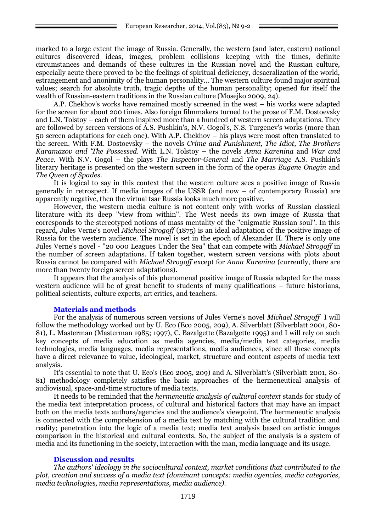marked to a large extent the image of Russia. Generally, the western (and later, eastern) national cultures discovered ideas, images, problem collisions keeping with the times, definite circumstances and demands of these cultures in the Russian novel and the Russian culture, especially acute there proved to be the feelings of spiritual deficiency, desacralization of the world, estrangement and anonimity of the human personality… The western culture found major spiritual values; search for absolute truth, tragic depths of the human personality; opened for itself the wealth of Russian-eastern traditions in the Russian culture (Mosejko 2009, 24).

A.P. Chekhov's works have remained mostly screened in the west – his works were adapted for the screen for about 200 times. Also foreign filmmakers turned to the prose of F.M. Dostoevsky and L.N. Tolstoy – each of them inspired more than a hundred of western screen adaptations. They are followed by screen versions of A.S. Pushkin's, N.V. Gogol's, N.S. Turgenev's works (more than 50 screen adaptations for each one). With A.P. Chekhov – his plays were most often translated to the screen. With F.M. Dostoevsky – the novels *Crime and Punishment, The Idiot*, *The Brothers Karamazov and 'The Possessed*. With L.N. Tolstoy – the novels *Anna Karenina* and *War and Peace*. With N.V. Gogol – the plays *The Inspector-General* and *The Marriage* A.S. Pushkin's literary heritage is presented on the western screen in the form of the operas *Eugene Onegin* and *The Queen of Spades*.

It is logical to say in this context that the western culture sees a positive image of Russia generally in retrospect. If media images of the USSR (and now – of contemporary Russia) are apparently negative, then the virtual tsar Russia looks much more positive.

However, the western media culture is not content only with works of Russian classical literature with its deep ''view from within''. The West needs its own image of Russia that corresponds to the stereotyped notions of mass mentality of the ''enigmatic Russian soul''. In this regard, Jules Verne's novel *Michael Strogoff* (1875) is an ideal adaptation of the positive image of Russia for the western audience. The novel is set in the epoch of Alexander II. There is only one Jules Verne's novel - ''20 000 Leagues Under the Sea'' that can compete with *Michael Strogoff* in the number of screen adaptations. If taken together, western screen versions with plots about Russia cannot be compared with *Michael Strogoff* except for *Anna Karenina* (currently, there are more than twenty foreign screen adaptations).

It appears that the analysis of this phenomenal positive image of Russia adapted for the mass western audience will be of great benefit to students of many qualifications – future historians, political scientists, culture experts, art critics, and teachers.

#### **Materials and methods**

For the analysis of numerous screen versions of Jules Verne's novel *Michael Strogoff* I will follow the methodology worked out by U. Eco (Eco 2005, 209), A. Silverblatt (Silverblatt 2001, 80- 81), L. Masterman (Masterman 1985; 1997), C. Bazalgette (Bazalgette 1995) and I will rely on such key concepts of media education as media agencies, media/media text categories, media technologies, media languages, media representations, media audiences, since all these concepts have a direct relevance to value, ideological, market, structure and content aspects of media text analysis.

It's essential to note that U. Eco's (Eco 2005, 209) and A. Silverblatt's (Silverblatt 2001, 80- 81) methodology completely satisfies the basic approaches of the hermeneutical analysis of audiovisual, space-and-time structure of media texts.

It needs to be reminded that the *hermeneutic analysis of cultural context* stands for study of the media text interpretation process, of cultural and historical factors that may have an impact both on the media texts authors/agencies and the audience's viewpoint. The hermeneutic analysis is connected with the comprehension of a media text by matching with the cultural tradition and reality; penetration into the logic of a media text; media text analysis based on artistic images comparison in the historical and cultural contexts. So, the subject of the analysis is a system of media and its functioning in the society, interaction with the man, media language and its usage.

#### **Discussion and results**

*The authors' ideology in the sociocultural context, market conditions that contributed to the plot, creation and success of a media text (dominant concepts: media agencies, media categories, media technologies, media representations, media audience).*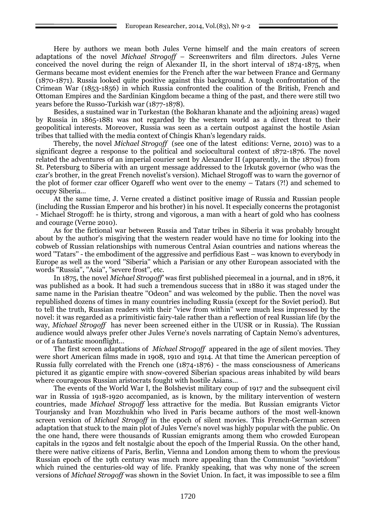Here by authors we mean both Jules Verne himself and the main creators of screen adaptations of the novel *Michael Strogoff* – Screenwriters and film directors. Jules Verne conceived the novel during the reign of Alexander II, in the short interval of 1874-1875, when Germans became most evident enemies for the French after the war between France and Germany (1870-1871). Russia looked quite positive against this background. A tough confrontation of the Crimean War (1853-1856) in which Russia confronted the coalition of the British, French and Ottoman Empires and the Sardinian Kingdom became a thing of the past, and there were still two years before the Russo-Turkish war (1877-1878).

Besides, a sustained war in Turkestan (the Bokharan khanate and the adjoining areas) waged by Russia in 1865-1881 was not regarded by the western world as a direct threat to their geopolitical interests. Moreover, Russia was seen as a certain outpost against the hostile Asian tribes that tallied with the media context of Chingis Khan's legendary raids.

Thereby, the novel *Michael Strogoff* (see one of the latest editions: Verne, 2010) was to a significant degree a response to the political and sociocultural context of 1872-1876. The novel related the adventures of an imperial courier sent by Alexander II (apparently, in the 1870s) from St. Petersburg to Siberia with an urgent message addressed to the Irkutsk governor (who was the czar's brother, in the great French novelist's version). Michael Strogoff was to warn the governor of the plot of former czar officer Ogareff who went over to the enemy – Tatars (?!) and schemed to occupy Siberia…

At the same time, J. Verne created a distinct positive image of Russia and Russian people (including the Russian Emperor and his brother) in his novel. It especially concerns the protagonist - Michael Strogoff: he is thirty, strong and vigorous, a man with a heart of gold who has coolness and courage (Verne 2010).

As for the fictional war between Russia and Tatar tribes in Siberia it was probably brought about by the author's misgiving that the western reader would have no time for looking into the cobweb of Russian relationships with numerous Central Asian countries and nations whereas the word ''Tatars'' - the embodiment of the aggressive and perfidious East – was known to everybody in Europe as well as the word ''Siberia'' which a Parisian or any other European associated with the words ''Russia'', ''Asia'', ''severe frost'', etc.

In 1875, the novel *Michael Strogoff'* was first published piecemeal in a journal, and in 1876, it was published as a book. It had such a tremendous success that in 1880 it was staged under the same name in the Parisian theatre ''Odeon'' and was welcomed by the public. Then the novel was republished dozens of times in many countries including Russia (except for the Soviet period). But to tell the truth, Russian readers with their ''view from within'' were much less impressed by the novel: it was regarded as a primitivistic fairy-tale rather than a reflection of real Russian life (by the way, *Michael Strogoff* has never been screened either in the UUSR or in Russia). The Russian audience would always prefer other Jules Verne's novels narrating of Captain Nemo's adventures, or of a fantastic moonflight…

The first screen adaptations of *Michael Strogoff* appeared in the age of silent movies. They were short American films made in 1908, 1910 and 1914. At that time the American perception of Russia fully correlated with the French one (1874-1876) - the mass consciousness of Americans pictured it as gigantic empire with snow-covered Siberian spacious areas inhabited by wild bears where courageous Russian aristocrats fought with hostile Asians...

The events of the World War I, the Bolshevist military coup of 1917 and the subsequent civil war in Russia of 1918-1920 accompanied, as is known, by the military intervention of western countries, made *Michael Strogoff* less attractive for the media. But Russian emigrants Victor Tourjansky and Ivan Mozzhukhin who lived in Paris became authors of the most well-known screen version of *Michael Strogoff* in the epoch of silent movies. This French-German screen adaptation that stuck to the main plot of Jules Verne's novel was highly popular with the public. On the one hand, there were thousands of Russian emigrants among them who crowded European capitals in the 1920s and felt nostalgic about the epoch of the Imperial Russia. On the other hand, there were native citizens of Paris, Berlin, Vienna and London among them to whom the previous Russian epoch of the 19th century was much more appealing than the Communist ''sovietdom'' which ruined the centuries-old way of life. Frankly speaking, that was why none of the screen versions of *Michael Strogoff* was shown in the Soviet Union. In fact, it was impossible to see a film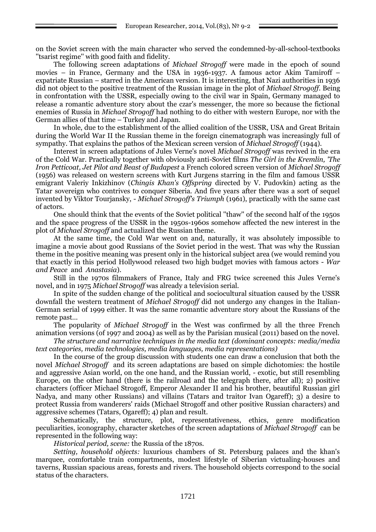on the Soviet screen with the main character who served the condemned-by-all-school-textbooks ''tsarist regime'' with good faith and fidelity.

The following screen adaptations of *Michael Strogoff* were made in the epoch of sound movies – in France, Germany and the USA in 1936-1937. A famous actor Akim Tamiroff – expatriate Russian – starred in the American version. It is interesting, that Nazi authorities in 1936 did not object to the positive treatment of the Russian image in the plot of *Michael Strogoff*. Being in confrontation with the USSR, especially owing to the civil war in Spain, Germany managed to release a romantic adventure story about the czar's messenger, the more so because the fictional enemies of Russia in *Michael Strogoff* had nothing to do either with western Europe, nor with the German allies of that time – Turkey and Japan.

In whole, due to the establishment of the allied coalition of the USSR, USA and Great Britain during the World War II the Russian theme in the foreign cinematograph was increasingly full of sympathy. That explains the pathos of the Mexican screen version of *Michael Strogoff* (1944).

Interest in screen adaptations of Jules Verne's novel *Michael Strogoff* was revived in the era of the Cold War. Practically together with obviously anti-Soviet films *The Girl in the Kremlin, 'The Iron Petticoat, Jet Pilot and Beast of Budapest* a French colored screen version of *Michael Strogoff* (1956) was released on western screens with Kurt Jurgens starring in the film and famous USSR emigrant Valeriy Inkizhinov (*Chingis Khan's Offspring* directed by V. Pudovkin) acting as the Tatar sovereign who contrives to conquer Siberia. And five years after there was a sort of sequel invented by Viktor Tourjansky, - *Michael Strogoff's Triumph* (1961), practically with the same cast of actors.

One should think that the events of the Soviet political ''thaw'' of the second half of the 1950s and the space progress of the USSR in the 1950s-1960s somehow affected the new interest in the plot of *Michael Strogoff* and actualized the Russian theme.

At the same time, the Cold War went on and, naturally, it was absolutely impossible to imagine a movie about good Russians of the Soviet period in the west. That was why the Russian theme in the positive meaning was present only in the historical subject area (we would remind you that exactly in this period Hollywood released two high budget movies with famous actors - *War and Peace* and *Anastasia*).

Still in the 1970s filmmakers of France, Italy and FRG twice screened this Jules Verne's novel, and in 1975 *Michael Strogoff* was already a television serial.

In spite of the sudden change of the political and sociocultural situation caused by the USSR downfall the western treatment of *Michael Strogoff* did not undergo any changes in the Italian-German serial of 1999 either. It was the same romantic adventure story about the Russians of the remote past…

The popularity of *Michael Strogoff* in the West was confirmed by all the three French animation versions (of 1997 and 2004) as well as by the Parisian musical (2011) based on the novel.

*The structure and narrative techniques in the media text (dominant concepts: media/media text categories, media technologies, media languages, media representations)*

In the course of the group discussion with students one can draw a conclusion that both the novel *Michael Strogoff* and its screen adaptations are based on simple dichotomies: the hostile and aggressive Asian world, on the one hand, and the Russian world, - exotic, but still resembling Europe, on the other hand (there is the railroad and the telegraph there, after all); 2) positive characters (officer Michael Strogoff, Emperor Alexander II and his brother, beautiful Russian girl Nadya, and many other Russians) and villains (Tatars and traitor Ivan Ogareff); 3) a desire to protect Russia from wanderers' raids (Michael Strogoff and other positive Russian characters) and aggressive schemes (Tatars, Ogareff); 4) plan and result.

Schematically, the structure, plot, representativeness, ethics, genre modification peculiarities, iconography, character sketches of the screen adaptations of *Michael Strogoff* can be represented in the following way:

*Historical period, scene:* the Russia of the 1870s.

*Setting, household objects:* luxurious chambers of St. Petersburg palaces and the khan's marquee, comfortable train compartments, modest lifestyle of Siberian victualing-houses and taverns, Russian spacious areas, forests and rivers. The household objects correspond to the social status of the characters.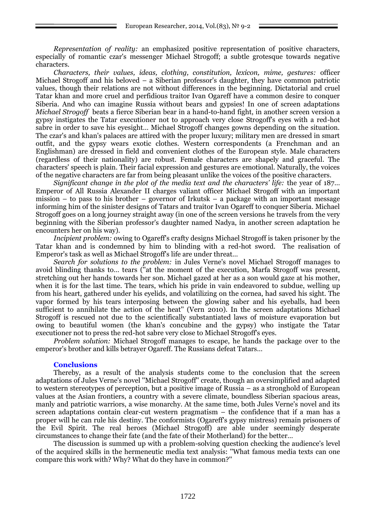*Representation of reality:* an emphasized positive representation of positive characters, especially of romantic czar's messenger Michael Strogoff; a subtle grotesque towards negative characters.

*Characters, their values, ideas, clothing, constitution, lexicon, mime, gestures:* officer Michael Strogoff and his beloved – a Siberian professor's daughter, they have common patriotic values, though their relations are not without differences in the beginning. Dictatorial and cruel Tatar khan and more cruel and perfidious traitor Ivan Ogareff have a common desire to conquer Siberia. And who can imagine Russia without bears and gypsies! In one of screen adaptations *Michael Strogoff* beats a fierce Siberian bear in a hand-to-hand fight, in another screen version a gypsy instigates the Tatar executioner not to approach very close Strogoff's eyes with a red-hot sabre in order to save his eyesight… Michael Strogoff changes gowns depending on the situation. The czar's and khan's palaces are attired with the proper luxury; military men are dressed in smart outfit, and the gypsy wears exotic clothes. Western correspondents (a Frenchman and an Englishman) are dressed in field and convenient clothes of the European style. Male characters (regardless of their nationality) are robust. Female characters are shapely and graceful. The characters' speech is plain. Their facial expression and gestures are emotional. Naturally, the voices of the negative characters are far from being pleasant unlike the voices of the positive characters.

*Significant change in the plot of the media text and the characters' life:* the year of 187… Emperor of All Russia Alexander II charges valiant officer Michael Strogoff with an important mission – to pass to his brother – governor of Irkutsk – a package with an important message informing him of the sinister designs of Tatars and traitor Ivan Ogareff to conquer Siberia. Michael Strogoff goes on a long journey straight away (in one of the screen versions he travels from the very beginning with the Siberian professor's daughter named Nadya, in another screen adaptation he encounters her on his way).

*Incipient problem:* owing to Ogareff's crafty designs Michael Strogoff is taken prisoner by the Tatar khan and is condemned by him to blinding with a red-hot sword. The realisation of Emperor's task as well as Michael Strogoff's life are under threat…

*Search for solutions to the problem:* in Jules Verne's novel Michael Strogoff manages to avoid blinding thanks to… tears (''at the moment of the execution, Marfa Strogoff was present, stretching out her hands towards her son. Michael gazed at her as a son would gaze at his mother, when it is for the last time. The tears, which his pride in vain endeavored to subdue, welling up from his heart, gathered under his eyelids, and volatilizing on the cornea, had saved his sight. The vapor formed by his tears interposing between the glowing saber and his eyeballs, had been sufficient to annihilate the action of the heat'' (Vern 2010). In the screen adaptations Michael Strogoff is rescued not due to the scientifically substantiated laws of moisture evaporation but owing to beautiful women (the khan's concubine and the gypsy) who instigate the Tatar executioner not to press the red-hot sabre very close to Michael Strogoff's eyes.

*Problem solution:* Michael Strogoff manages to escape, he hands the package over to the emperor's brother and kills betrayer Ogareff. The Russians defeat Tatars…

## **Conclusions**

Thereby, as a result of the analysis students come to the conclusion that the screen adaptations of Jules Verne's novel ''Michael Strogoff'' create, though an oversimplified and adapted to western stereotypes of perception, but a positive image of Russia – as a stronghold of European values at the Asian frontiers, a country with a severe climate, boundless Siberian spacious areas, manly and patriotic warriors, a wise monarchy. At the same time, both Jules Verne's novel and its screen adaptations contain clear-cut western pragmatism – the confidence that if a man has a proper will he can rule his destiny. The conformists (Ogareff's gypsy mistress) remain prisoners of the Evil Spirit. The real heroes (Michael Strogoff) are able under seemingly desperate circumstances to change their fate (and the fate of their Motherland) for the better…

The discussion is summed up with a problem-solving question checking the audience's level of the acquired skills in the hermeneutic media text analysis: ''What famous media texts can one compare this work with? Why? What do they have in common?''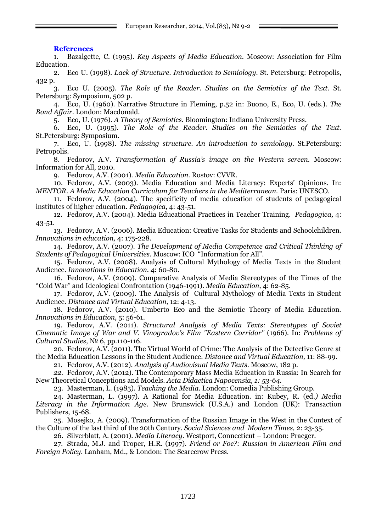## **References**

1. Bazalgette, C. (1995). *Key Aspects of Media Education.* Moscow: Association for Film Education.

2. Eco U. (1998). *Lack of Structure. Introduction to Semiology.* St. Petersburg: Petropolis, 432 p.

3. Eco U. (2005). *The Role of the Reader. Studies on the Semiotics of the Text.* St. Petersburg: Symposium, 502 p.

4. Eco, U. (1960). Narrative Structure in Fleming, p.52 in: Buono, E., Eco, U. (eds.). *The Bond Affair.* London: Macdonald.

5. Eco, U. (1976). *A Theory of Semiotics.* Bloomington: Indiana University Press.

6. Eco, U. (1995). *The Role of the Reader. Studies on the Semiotics of the Text.* St.Petersburg: Symposium.

7. Eco, U. (1998). *The missing structure. An introduction to semiology.* St.Petersburg: Petropolis.

8. Fedorov, A.V. *Transformation of Russia's image on the Western screen.* Moscow: Information for All, 2010.

9. Fedorov, A.V. (2001). *Media Education*. Rostov: CVVR.

10. Fedorov, A.V. (2003). Media Education and Media Literacy: Experts' Opinions. In: *MENTOR. A Media Education Curriculum for Teachers in the Mediterranean.* Paris: UNESCO.

11. Fedorov, A.V. (2004). The specificity of media education of students of pedagogical institutes of higher education. *Pedagogica,* 4: 43-51.

12. Fedorov, A.V. (2004). Media Educational Practices in Teacher Training. *Pedagogica,* 4: 43-51.

13. Fedorov, A.V. (2006). Media Education: Creative Tasks for Students and Schoolchildren. *Innovations in education,* 4: 175-228.

14. Fedorov, A.V. (2007). *The Development of Media Competence and Critical Thinking of Students of Pedagogical Universities. Moscow: ICO "Information for All".* 

15. Fedorov, A.V. (2008). Analysis of Cultural Mythology of Media Texts in the Student Audience. *Innovations in Education.* 4: 60-80.

16. Fedorov, A.V. (2009). Comparative Analysis of Media Stereotypes of the Times of the ―Cold War‖ and Ideological Confrontation (1946-1991). *Media Education,* 4: 62-85.

17. Fedorov, A.V. (2009). The Analysis of Cultural Mythology of Media Texts in Student Audience. *Distance and Virtual Education,* 12: 4-13.

18. Fedorov, A.V. (2010). Umberto Eco and the Semiotic Theory of Media Education. *Innovations in Education*, 5: 56-61.

19. Fedorov, A.V. (2011). *Structural Analysis of Media Texts: Stereotypes of Soviet Cinematic Image of War and V. Vinogradov's Film "Eastern Corridor"* (1966). In: *Problems of Cultural Studies,* № 6, pp.110-116.

20. Fedorov, A.V. (2011). The Virtual World of Crime: The Analysis of the Detective Genre at the Media Education Lessons in the Student Audience. *Distance and Virtual Education,* 11: 88-99.

21. Fedorov, A.V. (2012). *Analysis of Audiovisual Media Texts.* Moscow, 182 p.

*22.* Fedorov, A.V. (2012). The Contemporary Mass Media Education in Russia: In Search for New Theoretical Conceptions and Models. *Acta Didactica Napocensia, 1: 53-64.*

23. Masterman, L. (1985). *Teaching the Media.* London: Comedia Publishing Group.

24. Masterman, L. (1997). A Rational for Media Education. in: Kubey, R. (ed*.) Media Literacy in the Information Age*. New Brunswick (U.S.A.) and London (UK): Transaction Publishers, 15-68.

25. Mosejko, A. (2009). Transformation of the Russian Image in the West in the Context of the Culture of the last third of the 20th Century. *Social Sciences and Modern Times,* 2: 23-35.

26. Silverblatt, A. (2001). *Media Literacy.* Westport, Connecticut – London: Praeger.

27. Strada, M.J. and Troper, H.R. (1997). *Friend or Foe?: Russian in American Film and Foreign Policy.* Lanham, Md., & London: The Scarecrow Press.